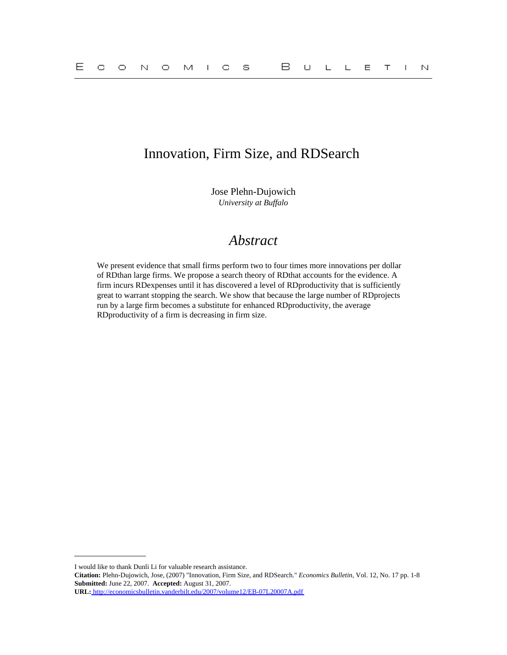## Innovation, Firm Size, and RDSearch

Jose Plehn-Dujowich *University at Buffalo*

# *Abstract*

We present evidence that small firms perform two to four times more innovations per dollar of RDthan large firms. We propose a search theory of RDthat accounts for the evidence. A firm incurs RDexpenses until it has discovered a level of RDproductivity that is sufficiently great to warrant stopping the search. We show that because the large number of RDprojects run by a large firm becomes a substitute for enhanced RDproductivity, the average RDproductivity of a firm is decreasing in firm size.

I would like to thank Dunli Li for valuable research assistance.

**Citation:** Plehn-Dujowich, Jose, (2007) "Innovation, Firm Size, and RDSearch." *Economics Bulletin,* Vol. 12, No. 17 pp. 1-8 **Submitted:** June 22, 2007. **Accepted:** August 31, 2007.

**URL:**<http://economicsbulletin.vanderbilt.edu/2007/volume12/EB-07L20007A.pdf>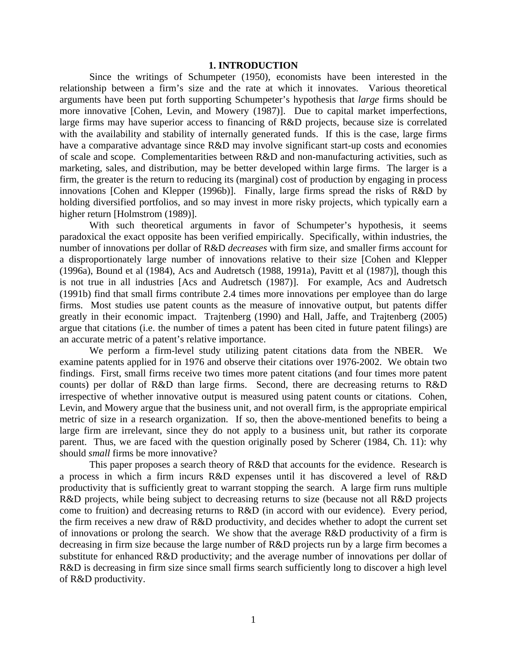#### **1. INTRODUCTION**

Since the writings of Schumpeter (1950), economists have been interested in the relationship between a firm's size and the rate at which it innovates. Various theoretical arguments have been put forth supporting Schumpeter's hypothesis that *large* firms should be more innovative [Cohen, Levin, and Mowery (1987)]. Due to capital market imperfections, large firms may have superior access to financing of R&D projects, because size is correlated with the availability and stability of internally generated funds. If this is the case, large firms have a comparative advantage since R&D may involve significant start-up costs and economies of scale and scope. Complementarities between R&D and non-manufacturing activities, such as marketing, sales, and distribution, may be better developed within large firms. The larger is a firm, the greater is the return to reducing its (marginal) cost of production by engaging in process innovations [Cohen and Klepper (1996b)]. Finally, large firms spread the risks of R&D by holding diversified portfolios, and so may invest in more risky projects, which typically earn a higher return [Holmstrom (1989)].

 With such theoretical arguments in favor of Schumpeter's hypothesis, it seems paradoxical the exact opposite has been verified empirically. Specifically, within industries, the number of innovations per dollar of R&D *decreases* with firm size, and smaller firms account for a disproportionately large number of innovations relative to their size [Cohen and Klepper (1996a), Bound et al (1984), Acs and Audretsch (1988, 1991a), Pavitt et al (1987)], though this is not true in all industries [Acs and Audretsch (1987)]. For example, Acs and Audretsch (1991b) find that small firms contribute 2.4 times more innovations per employee than do large firms. Most studies use patent counts as the measure of innovative output, but patents differ greatly in their economic impact. Trajtenberg (1990) and Hall, Jaffe, and Trajtenberg (2005) argue that citations (i.e. the number of times a patent has been cited in future patent filings) are an accurate metric of a patent's relative importance.

We perform a firm-level study utilizing patent citations data from the NBER. We examine patents applied for in 1976 and observe their citations over 1976-2002. We obtain two findings. First, small firms receive two times more patent citations (and four times more patent counts) per dollar of R&D than large firms. Second, there are decreasing returns to R&D irrespective of whether innovative output is measured using patent counts or citations. Cohen, Levin, and Mowery argue that the business unit, and not overall firm, is the appropriate empirical metric of size in a research organization. If so, then the above-mentioned benefits to being a large firm are irrelevant, since they do not apply to a business unit, but rather its corporate parent. Thus, we are faced with the question originally posed by Scherer (1984, Ch. 11): why should *small* firms be more innovative?

This paper proposes a search theory of R&D that accounts for the evidence. Research is a process in which a firm incurs R&D expenses until it has discovered a level of R&D productivity that is sufficiently great to warrant stopping the search. A large firm runs multiple R&D projects, while being subject to decreasing returns to size (because not all R&D projects come to fruition) and decreasing returns to R&D (in accord with our evidence). Every period, the firm receives a new draw of R&D productivity, and decides whether to adopt the current set of innovations or prolong the search. We show that the average R&D productivity of a firm is decreasing in firm size because the large number of R&D projects run by a large firm becomes a substitute for enhanced R&D productivity; and the average number of innovations per dollar of R&D is decreasing in firm size since small firms search sufficiently long to discover a high level of R&D productivity.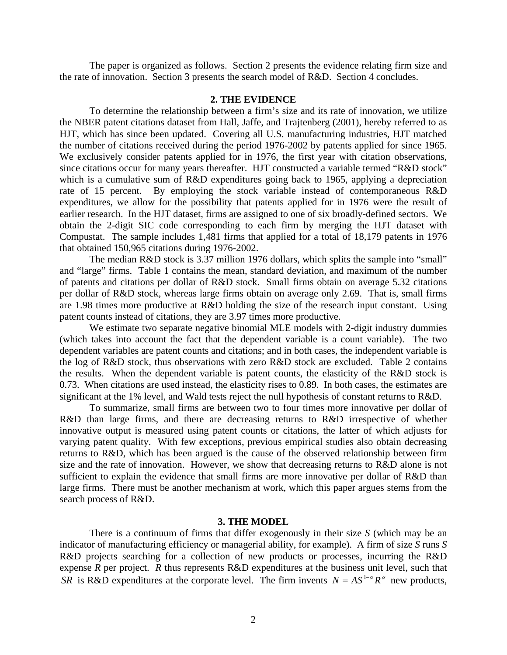The paper is organized as follows. Section 2 presents the evidence relating firm size and the rate of innovation. Section 3 presents the search model of R&D. Section 4 concludes.

#### **2. THE EVIDENCE**

To determine the relationship between a firm's size and its rate of innovation, we utilize the NBER patent citations dataset from Hall, Jaffe, and Trajtenberg (2001), hereby referred to as HJT, which has since been updated. Covering all U.S. manufacturing industries, HJT matched the number of citations received during the period 1976-2002 by patents applied for since 1965. We exclusively consider patents applied for in 1976, the first year with citation observations, since citations occur for many years thereafter. HJT constructed a variable termed "R&D stock" which is a cumulative sum of R&D expenditures going back to 1965, applying a depreciation rate of 15 percent. By employing the stock variable instead of contemporaneous R&D expenditures, we allow for the possibility that patents applied for in 1976 were the result of earlier research. In the HJT dataset, firms are assigned to one of six broadly-defined sectors. We obtain the 2-digit SIC code corresponding to each firm by merging the HJT dataset with Compustat. The sample includes 1,481 firms that applied for a total of 18,179 patents in 1976 that obtained 150,965 citations during 1976-2002.

The median R&D stock is 3.37 million 1976 dollars, which splits the sample into "small" and "large" firms. Table 1 contains the mean, standard deviation, and maximum of the number of patents and citations per dollar of R&D stock. Small firms obtain on average 5.32 citations per dollar of R&D stock, whereas large firms obtain on average only 2.69. That is, small firms are 1.98 times more productive at R&D holding the size of the research input constant. Using patent counts instead of citations, they are 3.97 times more productive.

We estimate two separate negative binomial MLE models with 2-digit industry dummies (which takes into account the fact that the dependent variable is a count variable). The two dependent variables are patent counts and citations; and in both cases, the independent variable is the log of R&D stock, thus observations with zero R&D stock are excluded. Table 2 contains the results. When the dependent variable is patent counts, the elasticity of the R&D stock is 0.73. When citations are used instead, the elasticity rises to 0.89. In both cases, the estimates are significant at the 1% level, and Wald tests reject the null hypothesis of constant returns to R&D.

To summarize, small firms are between two to four times more innovative per dollar of R&D than large firms, and there are decreasing returns to R&D irrespective of whether innovative output is measured using patent counts or citations, the latter of which adjusts for varying patent quality. With few exceptions, previous empirical studies also obtain decreasing returns to R&D, which has been argued is the cause of the observed relationship between firm size and the rate of innovation. However, we show that decreasing returns to R&D alone is not sufficient to explain the evidence that small firms are more innovative per dollar of R&D than large firms. There must be another mechanism at work, which this paper argues stems from the search process of R&D.

#### **3. THE MODEL**

There is a continuum of firms that differ exogenously in their size *S* (which may be an indicator of manufacturing efficiency or managerial ability, for example). A firm of size *S* runs *S* R&D projects searching for a collection of new products or processes, incurring the R&D expense *R* per project. *R* thus represents R&D expenditures at the business unit level, such that *SR* is R&D expenditures at the corporate level. The firm invents  $N = AS^{1-\alpha}R^{\alpha}$  new products,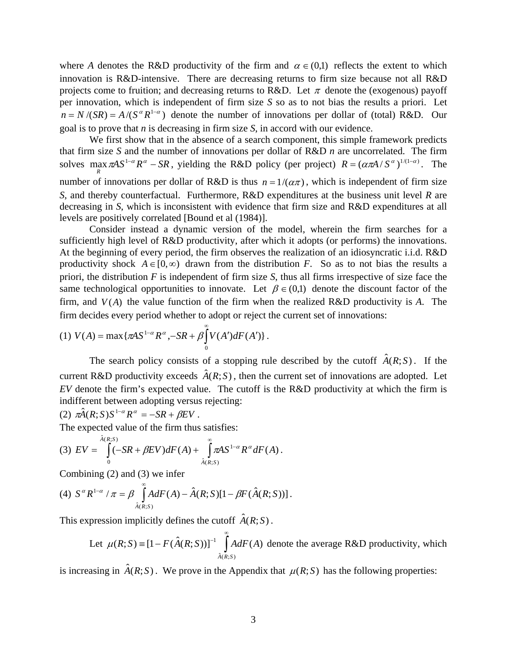where *A* denotes the R&D productivity of the firm and  $\alpha \in (0,1)$  reflects the extent to which innovation is R&D-intensive. There are decreasing returns to firm size because not all R&D projects come to fruition; and decreasing returns to R&D. Let  $\pi$  denote the (exogenous) payoff per innovation, which is independent of firm size *S* so as to not bias the results a priori. Let  $n = N/(SR) = A/(S^{\alpha}R^{1-\alpha})$  denote the number of innovations per dollar of (total) R&D. Our goal is to prove that *n* is decreasing in firm size *S*, in accord with our evidence.

We first show that in the absence of a search component, this simple framework predicts that firm size *S* and the number of innovations per dollar of R&D *n* are uncorrelated. The firm solves max  $\pi A S^{1-\alpha} R^{\alpha} - SR$ , yielding the R&D policy (per project)  $R = (\alpha \pi A / S^{\alpha})^{1/(1-\alpha)}$ . The number of innovations per dollar of R&D is thus  $n = 1/(\alpha \pi)$ , which is independent of firm size *R S*, and thereby counterfactual. Furthermore, R&D expenditures at the business unit level *R* are decreasing in *S*, which is inconsistent with evidence that firm size and R&D expenditures at all levels are positively correlated [Bound et al (1984)].

 Consider instead a dynamic version of the model, wherein the firm searches for a sufficiently high level of R&D productivity, after which it adopts (or performs) the innovations. At the beginning of every period, the firm observes the realization of an idiosyncratic i.i.d. R&D productivity shock  $A \in [0, \infty)$  drawn from the distribution *F*. So as to not bias the results a priori, the distribution *F* is independent of firm size *S*, thus all firms irrespective of size face the same technological opportunities to innovate. Let  $\beta \in (0,1)$  denote the discount factor of the firm, and  $V(A)$  the value function of the firm when the realized  $R&D$  productivity is  $A$ . The firm decides every period whether to adopt or reject the current set of innovations:

(1) 
$$
V(A) = \max \{ \pi A S^{1-\alpha} R^{\alpha}, -SR + \beta \int_{0}^{\infty} V(A') dF(A') \}.
$$

The search policy consists of a stopping rule described by the cutoff  $\hat{A}(R;S)$ . If the current R&D productivity exceeds  $\hat{A}(R;S)$ , then the current set of innovations are adopted. Let *EV* denote the firm's expected value. The cutoff is the R&D productivity at which the firm is indifferent between adopting versus rejecting:

(2)  $\pi \hat{A}(R;S)S^{1-\alpha}R^{\alpha} = -SR + \beta EV$ .

The expected value of the firm thus satisfies:

(3) 
$$
EV = \int_{0}^{\hat{A}(R;S)} (-SR + \beta EV) dF(A) + \int_{\hat{A}(R;S)}^{\infty} \pi AS^{1-\alpha} R^{\alpha} dF(A).
$$

Combining (2) and (3) we infer

(4) 
$$
S^{\alpha} R^{1-\alpha} / \pi = \beta \int_{\hat{A}(R;S)}^{\infty} A dF(A) - \hat{A}(R;S)[1 - \beta F(\hat{A}(R;S))].
$$

This expression implicitly defines the cutoff  $\hat{A}(R;S)$ .

Let 
$$
\mu(R; S) = [1 - F(\hat{A}(R; S))]^{-1} \int_{\hat{A}(R; S)}^{\infty} A dF(A)
$$
 denote the average R&D productivity, which

is increasing in  $\hat{A}(R;S)$ . We prove in the Appendix that  $\mu(R;S)$  has the following properties: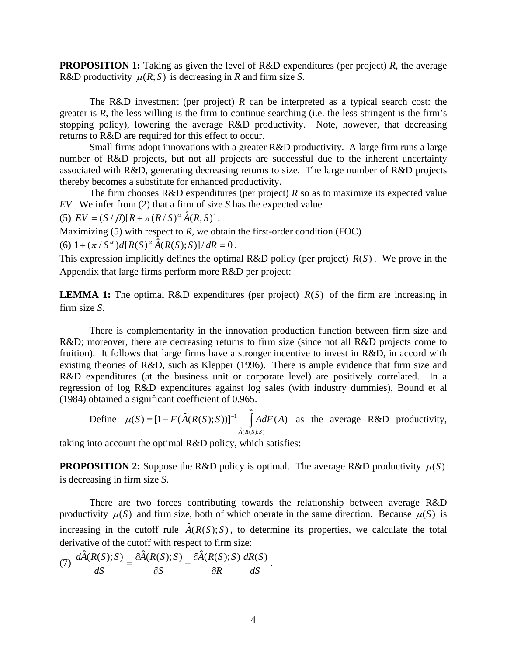**PROPOSITION 1:** Taking as given the level of R&D expenditures (per project) *R*, the average R&D productivity  $\mu(R; S)$  is decreasing in *R* and firm size *S*.

The R&D investment (per project)  $R$  can be interpreted as a typical search cost: the greater is *R*, the less willing is the firm to continue searching (i.e. the less stringent is the firm's stopping policy), lowering the average R&D productivity. Note, however, that decreasing returns to R&D are required for this effect to occur.

 Small firms adopt innovations with a greater R&D productivity. A large firm runs a large number of R&D projects, but not all projects are successful due to the inherent uncertainty associated with R&D, generating decreasing returns to size. The large number of R&D projects thereby becomes a substitute for enhanced productivity.

The firm chooses  $R&D$  expenditures (per project)  $R$  so as to maximize its expected value *EV*. We infer from (2) that a firm of size *S* has the expected value

(5)  $EV = (S / \beta)[R + \pi (R / S)^{\alpha} \hat{A}(R; S)].$ 

Maximizing  $(5)$  with respect to  $R$ , we obtain the first-order condition (FOC)

(6)  $1 + (\pi / S^{\alpha})d[R(S)^{\alpha} \hat{A}(R(S);S)]/dR = 0$ .

This expression implicitly defines the optimal R&D policy (per project)  $R(S)$ . We prove in the Appendix that large firms perform more R&D per project:

**LEMMA 1:** The optimal R&D expenditures (per project)  $R(S)$  of the firm are increasing in firm size *S*.

 There is complementarity in the innovation production function between firm size and R&D; moreover, there are decreasing returns to firm size (since not all R&D projects come to fruition). It follows that large firms have a stronger incentive to invest in R&D, in accord with existing theories of R&D, such as Klepper (1996). There is ample evidence that firm size and R&D expenditures (at the business unit or corporate level) are positively correlated. In a regression of log R&D expenditures against log sales (with industry dummies), Bound et al (1984) obtained a significant coefficient of 0.965.

Define 
$$
\mu(S) = [1 - F(\hat{A}(R(S);S))]^{-1} \int_{\hat{A}(R(S);S)}^{\infty} A dF(A)
$$
 as the average R&D productivity,

taking into account the optimal R&D policy, which satisfies:

**PROPOSITION 2:** Suppose the R&D policy is optimal. The average R&D productivity  $\mu(S)$ is decreasing in firm size *S*.

 There are two forces contributing towards the relationship between average R&D productivity  $\mu(S)$  and firm size, both of which operate in the same direction. Because  $\mu(S)$  is increasing in the cutoff rule  $\hat{A}(R(S); S)$ , to determine its properties, we calculate the total derivative of the cutoff with respect to firm size:

(7) 
$$
\frac{d\hat{A}(R(S);S)}{dS} = \frac{\partial \hat{A}(R(S);S)}{\partial S} + \frac{\partial \hat{A}(R(S);S)}{\partial R} \frac{dR(S)}{dS}.
$$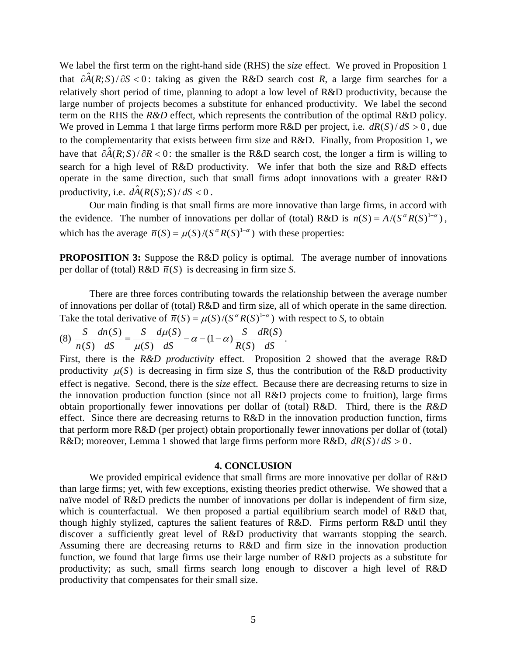We label the first term on the right-hand side (RHS) the *size* effect. We proved in Proposition 1 that  $\partial \hat{A}(R;S)/\partial S < 0$ : taking as given the R&D search cost *R*, a large firm searches for a relatively short period of time, planning to adopt a low level of R&D productivity, because the large number of projects becomes a substitute for enhanced productivity. We label the second term on the RHS the *R&D* effect, which represents the contribution of the optimal R&D policy. We proved in Lemma 1 that large firms perform more  $R&D$  per project, i.e.  $dR(S)/dS > 0$ , due to the complementarity that exists between firm size and R&D. Finally, from Proposition 1, we have that  $\partial \hat{A}(R;S)/\partial R < 0$ : the smaller is the R&D search cost, the longer a firm is willing to search for a high level of R&D productivity. We infer that both the size and R&D effects operate in the same direction, such that small firms adopt innovations with a greater R&D productivity, i.e.  $d\hat{A}(R(S);S)/dS < 0$ .

Our main finding is that small firms are more innovative than large firms, in accord with the evidence. The number of innovations per dollar of (total) R&D is  $n(S) = A/(S^{\alpha}R(S)^{1-\alpha})$ , which has the average  $\overline{n}(S) = \mu(S)/(S^{\alpha}R(S)^{1-\alpha})$  with these properties:

**PROPOSITION 3:** Suppose the R&D policy is optimal. The average number of innovations per dollar of (total)  $R&D \bar{n}(S)$  is decreasing in firm size *S*.

 There are three forces contributing towards the relationship between the average number of innovations per dollar of (total) R&D and firm size, all of which operate in the same direction. Take the total derivative of  $\overline{n}(S) = \mu(S)/(S^{\alpha}R(S)^{1-\alpha})$  with respect to *S*, to obtain

$$
(8) \frac{S}{\overline{n}(S)} \frac{d\overline{n}(S)}{dS} = \frac{S}{\mu(S)} \frac{d\mu(S)}{dS} - \alpha - (1 - \alpha) \frac{S}{R(S)} \frac{dR(S)}{dS}.
$$

First, there is the *R&D productivity* effect. Proposition 2 showed that the average R&D productivity  $\mu(S)$  is decreasing in firm size *S*, thus the contribution of the R&D productivity effect is negative. Second, there is the *size* effect. Because there are decreasing returns to size in the innovation production function (since not all R&D projects come to fruition), large firms obtain proportionally fewer innovations per dollar of (total) R&D. Third, there is the *R&D* effect. Since there are decreasing returns to R&D in the innovation production function, firms that perform more R&D (per project) obtain proportionally fewer innovations per dollar of (total) R&D; moreover, Lemma 1 showed that large firms perform more R&D,  $dR(S)/dS > 0$ .

#### **4. CONCLUSION**

We provided empirical evidence that small firms are more innovative per dollar of R&D than large firms; yet, with few exceptions, existing theories predict otherwise. We showed that a naïve model of R&D predicts the number of innovations per dollar is independent of firm size, which is counterfactual. We then proposed a partial equilibrium search model of R&D that, though highly stylized, captures the salient features of R&D. Firms perform R&D until they discover a sufficiently great level of R&D productivity that warrants stopping the search. Assuming there are decreasing returns to R&D and firm size in the innovation production function, we found that large firms use their large number of R&D projects as a substitute for productivity; as such, small firms search long enough to discover a high level of R&D productivity that compensates for their small size.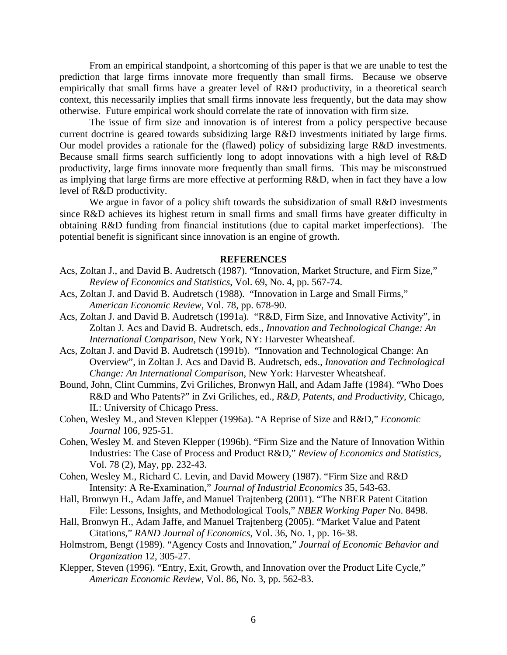From an empirical standpoint, a shortcoming of this paper is that we are unable to test the prediction that large firms innovate more frequently than small firms. Because we observe empirically that small firms have a greater level of R&D productivity, in a theoretical search context, this necessarily implies that small firms innovate less frequently, but the data may show otherwise. Future empirical work should correlate the rate of innovation with firm size.

The issue of firm size and innovation is of interest from a policy perspective because current doctrine is geared towards subsidizing large R&D investments initiated by large firms. Our model provides a rationale for the (flawed) policy of subsidizing large R&D investments. Because small firms search sufficiently long to adopt innovations with a high level of R&D productivity, large firms innovate more frequently than small firms. This may be misconstrued as implying that large firms are more effective at performing R&D, when in fact they have a low level of R&D productivity.

We argue in favor of a policy shift towards the subsidization of small R&D investments since R&D achieves its highest return in small firms and small firms have greater difficulty in obtaining R&D funding from financial institutions (due to capital market imperfections). The potential benefit is significant since innovation is an engine of growth.

### **REFERENCES**

- Acs, Zoltan J., and David B. Audretsch (1987). "Innovation, Market Structure, and Firm Size," *Review of Economics and Statistics*, Vol. 69, No. 4, pp. 567-74.
- Acs, Zoltan J. and David B. Audretsch (1988). "Innovation in Large and Small Firms," *American Economic Review*, Vol. 78, pp. 678-90.
- Acs, Zoltan J. and David B. Audretsch (1991a). "R&D, Firm Size, and Innovative Activity", in Zoltan J. Acs and David B. Audretsch, eds., *Innovation and Technological Change: An International Comparison*, New York, NY: Harvester Wheatsheaf.
- Acs, Zoltan J. and David B. Audretsch (1991b). "Innovation and Technological Change: An Overview", in Zoltan J. Acs and David B. Audretsch, eds., *Innovation and Technological Change: An International Comparison*, New York: Harvester Wheatsheaf.
- Bound, John, Clint Cummins, Zvi Griliches, Bronwyn Hall, and Adam Jaffe (1984). "Who Does R&D and Who Patents?" in Zvi Griliches, ed., *R&D, Patents, and Productivity*, Chicago, IL: University of Chicago Press.
- Cohen, Wesley M., and Steven Klepper (1996a). "A Reprise of Size and R&D," *Economic Journal* 106, 925-51.
- Cohen, Wesley M. and Steven Klepper (1996b). "Firm Size and the Nature of Innovation Within Industries: The Case of Process and Product R&D," *Review of Economics and Statistics*, Vol. 78 (2), May, pp. 232-43.
- Cohen, Wesley M., Richard C. Levin, and David Mowery (1987). "Firm Size and R&D Intensity: A Re-Examination," *Journal of Industrial Economics* 35, 543-63.
- Hall, Bronwyn H., Adam Jaffe, and Manuel Trajtenberg (2001). "The NBER Patent Citation File: Lessons, Insights, and Methodological Tools," *NBER Working Paper* No. 8498.
- Hall, Bronwyn H., Adam Jaffe, and Manuel Trajtenberg (2005). "Market Value and Patent Citations," *RAND Journal of Economics*, Vol. 36, No. 1, pp. 16-38.
- Holmstrom, Bengt (1989). "Agency Costs and Innovation," *Journal of Economic Behavior and Organization* 12, 305-27.
- Klepper, Steven (1996). "Entry, Exit, Growth, and Innovation over the Product Life Cycle," *American Economic Review*, Vol. 86, No. 3, pp. 562-83.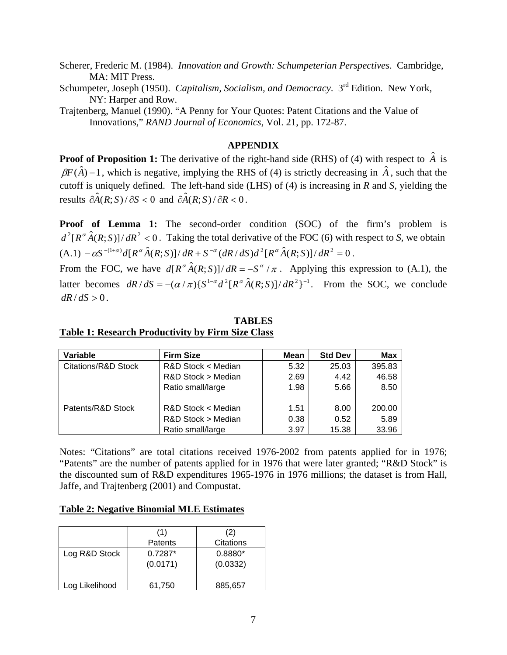Scherer, Frederic M. (1984). *Innovation and Growth: Schumpeterian Perspectives*. Cambridge, MA: MIT Press.

Schumpeter, Joseph (1950). *Capitalism, Socialism, and Democracy*. 3<sup>rd</sup> Edition. New York, NY: Harper and Row.

Trajtenberg, Manuel (1990). "A Penny for Your Quotes: Patent Citations and the Value of Innovations," *RAND Journal of Economics*, Vol. 21, pp. 172-87.

## **APPENDIX**

**Proof of Proposition 1:** The derivative of the right-hand side (RHS) of (4) with respect to  $\hat{A}$  is  $\beta F(\hat{A}) - 1$ , which is negative, implying the RHS of (4) is strictly decreasing in  $\hat{A}$ , such that the cutoff is uniquely defined. The left-hand side (LHS) of (4) is increasing in *R* and *S*, yielding the results  $\partial \hat{A}(R;S)/\partial S < 0$  and  $\partial \hat{A}(R;S)/\partial R < 0$ .

**Proof of Lemma 1:** The second-order condition (SOC) of the firm's problem is  $d^2[R^{\alpha}\hat{A}(R;S)]/dR^2 < 0$ . Taking the total derivative of the FOC (6) with respect to *S*, we obtain  $(A.1) - \alpha S^{-(1+\alpha)} d[R^{\alpha} \hat{A}(R;S)]/ dR + S^{-\alpha} (dR/dS) d^{2}[R^{\alpha} \hat{A}(R;S)]/ dR^{2} = 0.$ 

From the FOC, we have  $d[R^{\alpha}\hat{A}(R;S)]/dR = -S^{\alpha}/\pi$ . Applying this expression to (A.1), the latter becomes  $dR/dS = -(\alpha/\pi)\{S^{1-\alpha}d^2[R^{\alpha}\hat{A}(R;S)]/dR^2\}^{-1}$ . From the SOC, we conclude  $dR/dS > 0$ .

| Variable            | <b>Firm Size</b>   | Mean | <b>Std Dev</b> | <b>Max</b> |
|---------------------|--------------------|------|----------------|------------|
| Citations/R&D Stock | R&D Stock < Median | 5.32 | 25.03          | 395.83     |
|                     | R&D Stock > Median | 2.69 | 4.42           | 46.58      |
|                     | Ratio small/large  | 1.98 | 5.66           | 8.50       |
| Patents/R&D Stock   | R&D Stock < Median | 1.51 | 8.00           | 200.00     |
|                     | R&D Stock > Median | 0.38 | 0.52           | 5.89       |
|                     | Ratio small/large  | 3.97 | 15.38          | 33.96      |

## **TABLES Table 1: Research Productivity by Firm Size Class**

Notes: "Citations" are total citations received 1976-2002 from patents applied for in 1976; "Patents" are the number of patents applied for in 1976 that were later granted; "R&D Stock" is the discounted sum of R&D expenditures 1965-1976 in 1976 millions; the dataset is from Hall, Jaffe, and Trajtenberg (2001) and Compustat.

## **Table 2: Negative Binomial MLE Estimates**

|                | (1)<br>Patents        | (2)<br>Citations      |
|----------------|-----------------------|-----------------------|
| Log R&D Stock  | $0.7287*$<br>(0.0171) | $0.8880*$<br>(0.0332) |
| Log Likelihood | 61,750                | 885,657               |